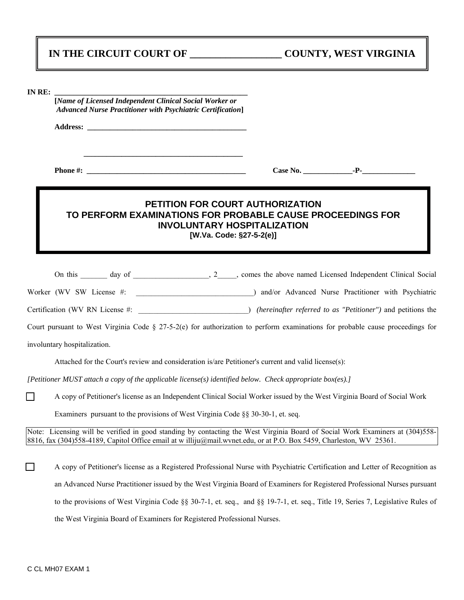|  |  | IN THE CIRCUIT COURT OF |
|--|--|-------------------------|
|--|--|-------------------------|

| <b>IN RE</b><br>KC. |  |
|---------------------|--|
|                     |  |

 **[***Name of Licensed Independent Clinical Social Worker or Advanced Nurse Practitioner with Psychiatric Certification***]** 

Address:

 **\_\_\_\_\_\_\_\_\_\_\_\_\_\_\_\_\_\_\_\_\_\_\_\_\_\_\_\_\_\_\_\_\_\_\_\_\_\_\_\_\_\_** 

 **Phone #: \_\_\_\_\_\_\_\_\_\_\_\_\_\_\_\_\_\_\_\_\_\_\_\_\_\_\_\_\_\_\_\_\_\_\_\_\_\_\_\_\_\_ Case No. \_\_\_\_\_\_\_\_\_\_\_\_\_-P-\_\_\_\_\_\_\_\_\_\_\_\_\_\_** 

## **PETITION FOR COURT AUTHORIZATION TO PERFORM EXAMINATIONS FOR PROBABLE CAUSE PROCEEDINGS FOR INVOLUNTARY HOSPITALIZATION [W.Va. Code: §27-5-2(e)]**

On this \_\_\_\_\_\_ day of \_\_\_\_\_\_\_\_\_\_\_\_\_\_, 2\_\_\_\_, comes the above named Licensed Independent Clinical Social Worker (WV SW License #:  $\blacksquare$ ) and/or Advanced Nurse Practitioner with Psychiatric

Certification (WV RN License #:  $\qquad \qquad$  *(hereinafter referred to as "Petitioner")* and petitions the

Court pursuant to West Virginia Code § 27-5-2(e) for authorization to perform examinations for probable cause proceedings for

involuntary hospitalization.

Attached for the Court's review and consideration is/are Petitioner's current and valid license(s):

*[Petitioner MUST attach a copy of the applicable license(s) identified below. Check appropriate box(es).]*

' A copy of Petitioner's license as an Independent Clinical Social Worker issued by the West Virginia Board of Social Work

Examiners pursuant to the provisions of West Virginia Code §§ 30-30-1, et. seq.

Note: Licensing will be verified in good standing by contacting the West Virginia Board of Social Work Examiners at (304)558- 8816, fax (304)558-4189, Capitol Office email at w illiju@mail.wvnet.edu, or at P.O. Box 5459, Charleston, WV 25361.

' A copy of Petitioner's license as a Registered Professional Nurse with Psychiatric Certification and Letter of Recognition as an Advanced Nurse Practitioner issued by the West Virginia Board of Examiners for Registered Professional Nurses pursuant to the provisions of West Virginia Code §§ 30-7-1, et. seq., and §§ 19-7-1, et. seq., Title 19, Series 7, Legislative Rules of the West Virginia Board of Examiners for Registered Professional Nurses.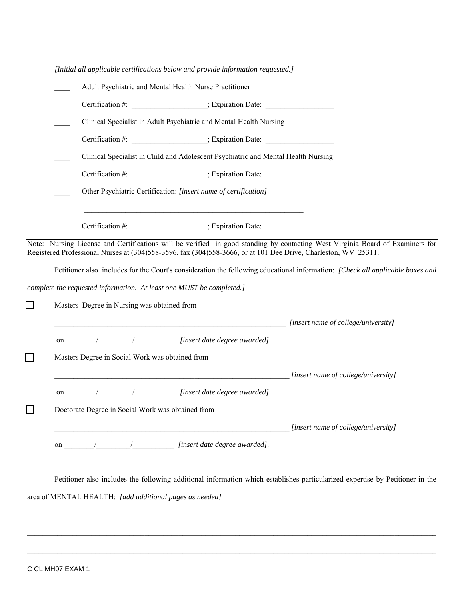| [Initial all applicable certifications below and provide information requested.]                                                                                                                                                      |                                                                                   |                                                                                                                                                                                                                                                                |
|---------------------------------------------------------------------------------------------------------------------------------------------------------------------------------------------------------------------------------------|-----------------------------------------------------------------------------------|----------------------------------------------------------------------------------------------------------------------------------------------------------------------------------------------------------------------------------------------------------------|
| Adult Psychiatric and Mental Health Nurse Practitioner                                                                                                                                                                                |                                                                                   |                                                                                                                                                                                                                                                                |
|                                                                                                                                                                                                                                       | Certification #: _____________________; Expiration Date: _______________________  |                                                                                                                                                                                                                                                                |
|                                                                                                                                                                                                                                       | Clinical Specialist in Adult Psychiatric and Mental Health Nursing                |                                                                                                                                                                                                                                                                |
|                                                                                                                                                                                                                                       | Certification #: ______________________; Expiration Date: ______________________  |                                                                                                                                                                                                                                                                |
|                                                                                                                                                                                                                                       | Clinical Specialist in Child and Adolescent Psychiatric and Mental Health Nursing |                                                                                                                                                                                                                                                                |
|                                                                                                                                                                                                                                       | Certification #: _____________________; Expiration Date: _______________________  |                                                                                                                                                                                                                                                                |
|                                                                                                                                                                                                                                       | Other Psychiatric Certification: [insert name of certification]                   |                                                                                                                                                                                                                                                                |
|                                                                                                                                                                                                                                       |                                                                                   |                                                                                                                                                                                                                                                                |
|                                                                                                                                                                                                                                       | Certification #: ______________________; Expiration Date: ______________________  |                                                                                                                                                                                                                                                                |
| Registered Professional Nurses at (304)558-3596, fax (304)558-3666, or at 101 Dee Drive, Charleston, WV 25311.<br>complete the requested information. At least one MUST be completed.]<br>Masters Degree in Nursing was obtained from |                                                                                   | Note: Nursing License and Certifications will be verified in good standing by contacting West Virginia Board of Examiners for<br>Petitioner also includes for the Court's consideration the following educational information: [Check all applicable boxes and |
|                                                                                                                                                                                                                                       |                                                                                   | [insert name of college/university] [insert name of college/university]                                                                                                                                                                                        |
|                                                                                                                                                                                                                                       |                                                                                   |                                                                                                                                                                                                                                                                |
| Masters Degree in Social Work was obtained from                                                                                                                                                                                       |                                                                                   |                                                                                                                                                                                                                                                                |
|                                                                                                                                                                                                                                       |                                                                                   | [insert name of college/university]                                                                                                                                                                                                                            |
|                                                                                                                                                                                                                                       |                                                                                   |                                                                                                                                                                                                                                                                |
| Doctorate Degree in Social Work was obtained from                                                                                                                                                                                     |                                                                                   |                                                                                                                                                                                                                                                                |
|                                                                                                                                                                                                                                       |                                                                                   | [insert name of college/university]                                                                                                                                                                                                                            |
|                                                                                                                                                                                                                                       |                                                                                   |                                                                                                                                                                                                                                                                |
|                                                                                                                                                                                                                                       |                                                                                   | Petitioner also includes the following additional information which establishes particularized expertise by Petitioner in the                                                                                                                                  |

 $\_$  , and the state of the state of the state of the state of the state of the state of the state of the state of the state of the state of the state of the state of the state of the state of the state of the state of the

area of MENTAL HEALTH: *[add additional pages as needed]*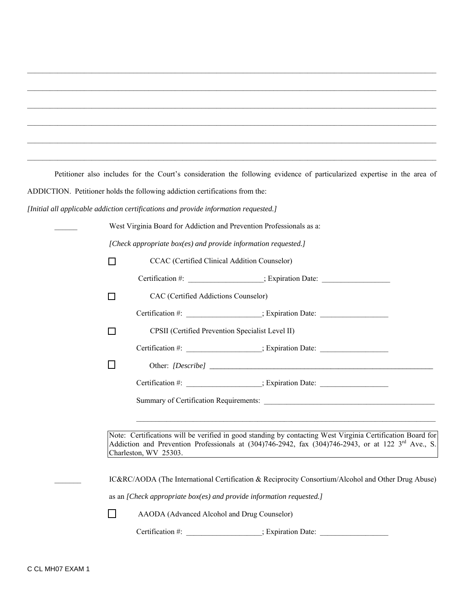Petitioner also includes for the Court's consideration the following evidence of particularized expertise in the area of ADDICTION. Petitioner holds the following addiction certifications from the:

 $\mathcal{L}_\text{max} = \frac{1}{2} \sum_{i=1}^n \mathcal{L}_\text{max} = \frac{1}{2} \sum_{i=1}^n \mathcal{L}_\text{max} = \frac{1}{2} \sum_{i=1}^n \mathcal{L}_\text{max} = \frac{1}{2} \sum_{i=1}^n \mathcal{L}_\text{max} = \frac{1}{2} \sum_{i=1}^n \mathcal{L}_\text{max} = \frac{1}{2} \sum_{i=1}^n \mathcal{L}_\text{max} = \frac{1}{2} \sum_{i=1}^n \mathcal{L}_\text{max} = \frac{1}{2} \sum_{i=$ 

 $\mathcal{L}_\text{max} = \mathcal{L}_\text{max} = \mathcal{L}_\text{max} = \mathcal{L}_\text{max} = \mathcal{L}_\text{max} = \mathcal{L}_\text{max} = \mathcal{L}_\text{max} = \mathcal{L}_\text{max} = \mathcal{L}_\text{max} = \mathcal{L}_\text{max} = \mathcal{L}_\text{max} = \mathcal{L}_\text{max} = \mathcal{L}_\text{max} = \mathcal{L}_\text{max} = \mathcal{L}_\text{max} = \mathcal{L}_\text{max} = \mathcal{L}_\text{max} = \mathcal{L}_\text{max} = \mathcal{$ 

 $\mathcal{L}_\text{max} = \frac{1}{2} \sum_{i=1}^n \mathcal{L}_\text{max} = \frac{1}{2} \sum_{i=1}^n \mathcal{L}_\text{max} = \frac{1}{2} \sum_{i=1}^n \mathcal{L}_\text{max} = \frac{1}{2} \sum_{i=1}^n \mathcal{L}_\text{max} = \frac{1}{2} \sum_{i=1}^n \mathcal{L}_\text{max} = \frac{1}{2} \sum_{i=1}^n \mathcal{L}_\text{max} = \frac{1}{2} \sum_{i=1}^n \mathcal{L}_\text{max} = \frac{1}{2} \sum_{i=$ 

*[Initial all applicable addiction certifications and provide information requested.]* 

| West Virginia Board for Addiction and Prevention Professionals as a:                                                                                                                                                                                                                                           |  |  |  |
|----------------------------------------------------------------------------------------------------------------------------------------------------------------------------------------------------------------------------------------------------------------------------------------------------------------|--|--|--|
| [Check appropriate box(es) and provide information requested.]                                                                                                                                                                                                                                                 |  |  |  |
| CCAC (Certified Clinical Addition Counselor)<br>□                                                                                                                                                                                                                                                              |  |  |  |
| Certification #: _______________________; Expiration Date: _____________________                                                                                                                                                                                                                               |  |  |  |
| CAC (Certified Addictions Counselor)<br>П                                                                                                                                                                                                                                                                      |  |  |  |
| Certification #: _______________________; Expiration Date: _____________________                                                                                                                                                                                                                               |  |  |  |
| CPSII (Certified Prevention Specialist Level II)<br>П                                                                                                                                                                                                                                                          |  |  |  |
| Certification #: _____________________; Expiration Date: _______________________                                                                                                                                                                                                                               |  |  |  |
| ΙI                                                                                                                                                                                                                                                                                                             |  |  |  |
| Certification #: ______________________; Expiration Date: ______________________                                                                                                                                                                                                                               |  |  |  |
|                                                                                                                                                                                                                                                                                                                |  |  |  |
| <u> 1989 - Johann Barn, amerikan berkema dalam berkema dalam berkema dalam berkema dalam berkema dalam berkema da</u>                                                                                                                                                                                          |  |  |  |
| Note: Certifications will be verified in good standing by contacting West Virginia Certification Board for<br>Addiction and Prevention Professionals at (304)746-2942, fax (304)746-2943, or at 122 3 <sup>rd</sup> Ave., S.<br>Charleston, WV 25303.<br><u> 1980 - Andrea Stadt, fransk politik (d. 1980)</u> |  |  |  |
| IC&RC/AODA (The International Certification & Reciprocity Consortium/Alcohol and Other Drug Abuse)                                                                                                                                                                                                             |  |  |  |
| as an [Check appropriate box(es) and provide information requested.]                                                                                                                                                                                                                                           |  |  |  |
| AAODA (Advanced Alcohol and Drug Counselor)                                                                                                                                                                                                                                                                    |  |  |  |
| Certification #: _______________________; Expiration Date: _____________________                                                                                                                                                                                                                               |  |  |  |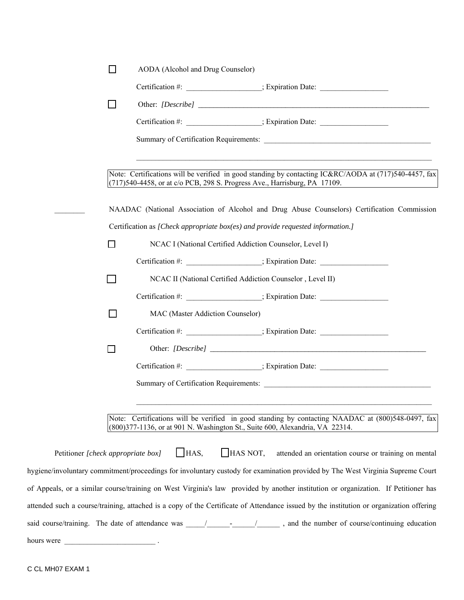|                                    | П      | AODA (Alcohol and Drug Counselor)                                                                                                                                                                                |
|------------------------------------|--------|------------------------------------------------------------------------------------------------------------------------------------------------------------------------------------------------------------------|
|                                    |        | Certification #: _____________________; Expiration Date: ________________________                                                                                                                                |
|                                    |        |                                                                                                                                                                                                                  |
|                                    |        | Certification #: ______________________; Expiration Date: ______________________                                                                                                                                 |
|                                    |        |                                                                                                                                                                                                                  |
|                                    |        | Note: Certifications will be verified in good standing by contacting IC&RC/AODA at (717)540-4457, fax<br>(717)540-4458, or at c/o PCB, 298 S. Progress Ave., Harrisburg, PA 17109.                               |
|                                    |        | NAADAC (National Association of Alcohol and Drug Abuse Counselors) Certification Commission                                                                                                                      |
|                                    |        | Certification as [Check appropriate box(es) and provide requested information.]                                                                                                                                  |
|                                    | □      | NCAC I (National Certified Addiction Counselor, Level I)                                                                                                                                                         |
|                                    |        | Certification #: ______________________; Expiration Date: ______________________                                                                                                                                 |
|                                    |        | NCAC II (National Certified Addiction Counselor, Level II)                                                                                                                                                       |
|                                    |        | Certification #: ______________________; Expiration Date:                                                                                                                                                        |
|                                    | $\Box$ | MAC (Master Addiction Counselor)                                                                                                                                                                                 |
|                                    |        | Certification #: _____________________; Expiration Date: _______________________                                                                                                                                 |
|                                    | $\Box$ |                                                                                                                                                                                                                  |
|                                    |        | Certification #: ______________________; Expiration Date: ______________________                                                                                                                                 |
|                                    |        |                                                                                                                                                                                                                  |
|                                    |        | Note: Certifications will be verified in good standing by contacting NAADAC at (800)548-0497, fax<br>(800) 377-1136, or at 901 N. Washington St., Suite 600, Alexandria, VA 22314.                               |
| Petitioner [check appropriate box] |        | $\Box$ HAS NOT,<br>HAS<br>attended an orientation course or training on mental<br>hygiene/involuntary commitment/proceedings for involuntary custody for examination provided by The West Virginia Supreme Court |

of Appeals, or a similar course/training on West Virginia's law provided by another institution or organization. If Petitioner has attended such a course/training, attached is a copy of the Certificate of Attendance issued by the institution or organization offering

| said course/training. The date of attendance was / The matter of a metal and the said course of the date of attendance was / The matter of the said course of the same of the same of the same of the same of the same of the | , and the number of course/continuing education |  |
|-------------------------------------------------------------------------------------------------------------------------------------------------------------------------------------------------------------------------------|-------------------------------------------------|--|

hours were \_\_\_\_\_\_\_\_\_\_\_\_\_\_\_\_\_\_\_\_\_\_\_\_ .